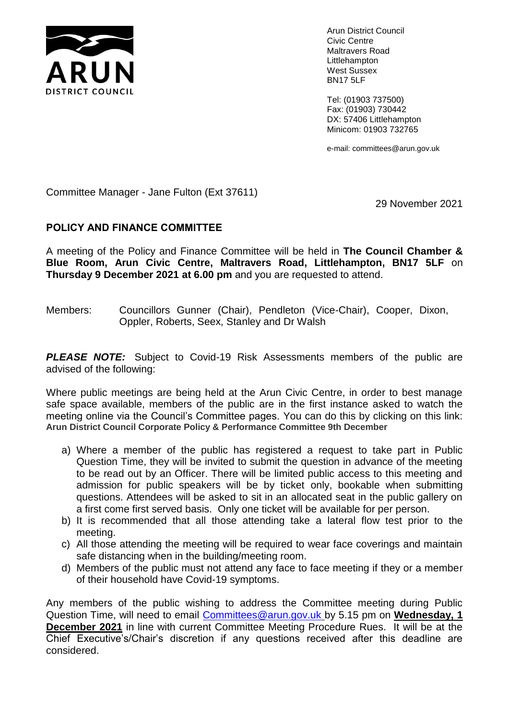

Arun District Council Civic Centre Maltravers Road Littlehampton West Sussex BN17 5LF

Tel: (01903 737500) Fax: (01903) 730442 DX: 57406 Littlehampton Minicom: 01903 732765

e-mail: committees@arun.gov.uk

Committee Manager - Jane Fulton (Ext 37611)

29 November 2021

# **POLICY AND FINANCE COMMITTEE**

A meeting of the Policy and Finance Committee will be held in **The Council Chamber & Blue Room, Arun Civic Centre, Maltravers Road, Littlehampton, BN17 5LF** on **Thursday 9 December 2021 at 6.00 pm** and you are requested to attend.

Members: Councillors Gunner (Chair), Pendleton (Vice-Chair), Cooper, Dixon, Oppler, Roberts, Seex, Stanley and Dr Walsh

**PLEASE NOTE:** Subject to Covid-19 Risk Assessments members of the public are advised of the following:

Where public meetings are being held at the Arun Civic Centre, in order to best manage safe space available, members of the public are in the first instance asked to watch the meeting online via the Council's Committee pages. You can do this by clicking on this link: **Arun District Council Corporate Policy & Performance Committee 9th December**

- a) Where a member of the public has registered a request to take part in Public Question Time, they will be invited to submit the question in advance of the meeting to be read out by an Officer. There will be limited public access to this meeting and admission for public speakers will be by ticket only, bookable when submitting questions. Attendees will be asked to sit in an allocated seat in the public gallery on a first come first served basis. Only one ticket will be available for per person.
- b) It is recommended that all those attending take a lateral flow test prior to the meeting.
- c) All those attending the meeting will be required to wear face coverings and maintain safe distancing when in the building/meeting room.
- d) Members of the public must not attend any face to face meeting if they or a member of their household have Covid-19 symptoms.

Any members of the public wishing to address the Committee meeting during Public Question Time, will need to email [Committees@arun.gov.uk](mailto:Committees@arun.gov.uk) by 5.15 pm on **Wednesday, 1 December 2021** in line with current Committee Meeting Procedure Rues. It will be at the Chief Executive's/Chair's discretion if any questions received after this deadline are considered.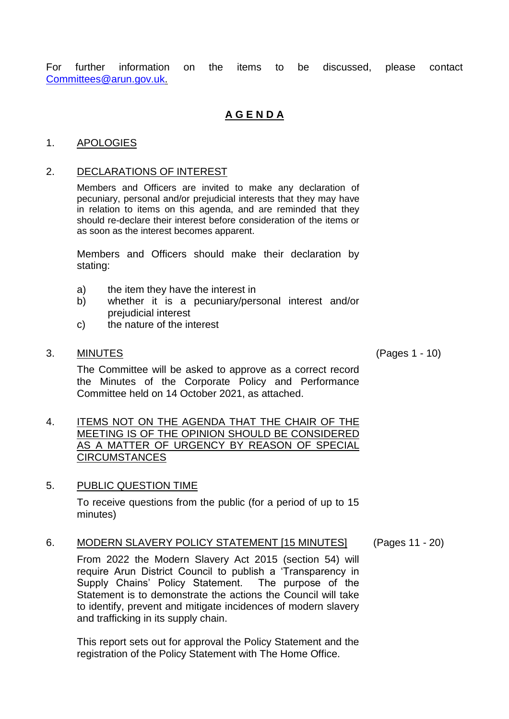For further information on the items to be discussed, please contact [Committees@arun.gov.uk.](mailto:Committees@arun.gov.uk)

# **A G E N D A**

#### 1. APOLOGIES

#### 2. DECLARATIONS OF INTEREST

Members and Officers are invited to make any declaration of pecuniary, personal and/or prejudicial interests that they may have in relation to items on this agenda, and are reminded that they should re-declare their interest before consideration of the items or as soon as the interest becomes apparent.

Members and Officers should make their declaration by stating:

- a) the item they have the interest in
- b) whether it is a pecuniary/personal interest and/or prejudicial interest
- c) the nature of the interest
- 3. MINUTES (Pages 1 10)

The Committee will be asked to approve as a correct record the Minutes of the Corporate Policy and Performance Committee held on 14 October 2021, as attached.

4. ITEMS NOT ON THE AGENDA THAT THE CHAIR OF THE MEETING IS OF THE OPINION SHOULD BE CONSIDERED AS A MATTER OF URGENCY BY REASON OF SPECIAL CIRCUMSTANCES

### 5. PUBLIC QUESTION TIME

To receive questions from the public (for a period of up to 15 minutes)

6. MODERN SLAVERY POLICY STATEMENT [15 MINUTES] (Pages 11 - 20)

From 2022 the Modern Slavery Act 2015 (section 54) will require Arun District Council to publish a 'Transparency in Supply Chains' Policy Statement. The purpose of the Statement is to demonstrate the actions the Council will take to identify, prevent and mitigate incidences of modern slavery and trafficking in its supply chain.

This report sets out for approval the Policy Statement and the registration of the Policy Statement with The Home Office.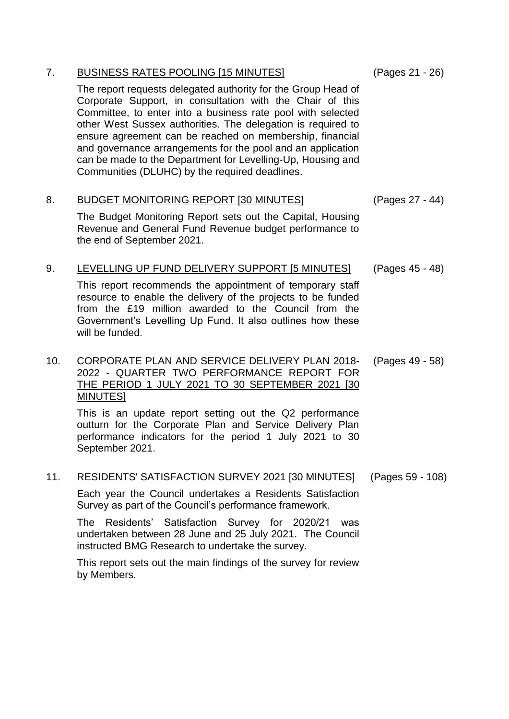| 7.  | <b>BUSINESS RATES POOLING [15 MINUTES]</b><br>The report requests delegated authority for the Group Head of<br>Corporate Support, in consultation with the Chair of this<br>Committee, to enter into a business rate pool with selected<br>other West Sussex authorities. The delegation is required to<br>ensure agreement can be reached on membership, financial<br>and governance arrangements for the pool and an application<br>can be made to the Department for Levelling-Up, Housing and<br>Communities (DLUHC) by the required deadlines. | (Pages 21 - 26)  |
|-----|-----------------------------------------------------------------------------------------------------------------------------------------------------------------------------------------------------------------------------------------------------------------------------------------------------------------------------------------------------------------------------------------------------------------------------------------------------------------------------------------------------------------------------------------------------|------------------|
| 8.  | <b>BUDGET MONITORING REPORT [30 MINUTES]</b><br>The Budget Monitoring Report sets out the Capital, Housing<br>Revenue and General Fund Revenue budget performance to<br>the end of September 2021.                                                                                                                                                                                                                                                                                                                                                  | (Pages 27 - 44)  |
| 9.  | LEVELLING UP FUND DELIVERY SUPPORT [5 MINUTES]<br>This report recommends the appointment of temporary staff<br>resource to enable the delivery of the projects to be funded<br>from the £19 million awarded to the Council from the<br>Government's Levelling Up Fund. It also outlines how these<br>will be funded.                                                                                                                                                                                                                                | (Pages 45 - 48)  |
| 10. | CORPORATE PLAN AND SERVICE DELIVERY PLAN 2018-<br>2022 - QUARTER TWO PERFORMANCE REPORT FOR<br>THE PERIOD 1 JULY 2021 TO 30 SEPTEMBER 2021 [30<br><b>MINUTES1</b><br>This is an update report setting out the Q2 performance<br>outturn for the Corporate Plan and Service Delivery Plan<br>performance indicators for the period 1 July 2021 to 30<br>September 2021.                                                                                                                                                                              | (Pages 49 - 58)  |
| 11. | <b>RESIDENTS' SATISFACTION SURVEY 2021 [30 MINUTES]</b><br>Each year the Council undertakes a Residents Satisfaction<br>Survey as part of the Council's performance framework.<br>Residents' Satisfaction Survey for 2020/21<br>The<br>was<br>undertaken between 28 June and 25 July 2021. The Council<br>instructed BMG Research to undertake the survey.                                                                                                                                                                                          | (Pages 59 - 108) |

This report sets out the main findings of the survey for review by Members.